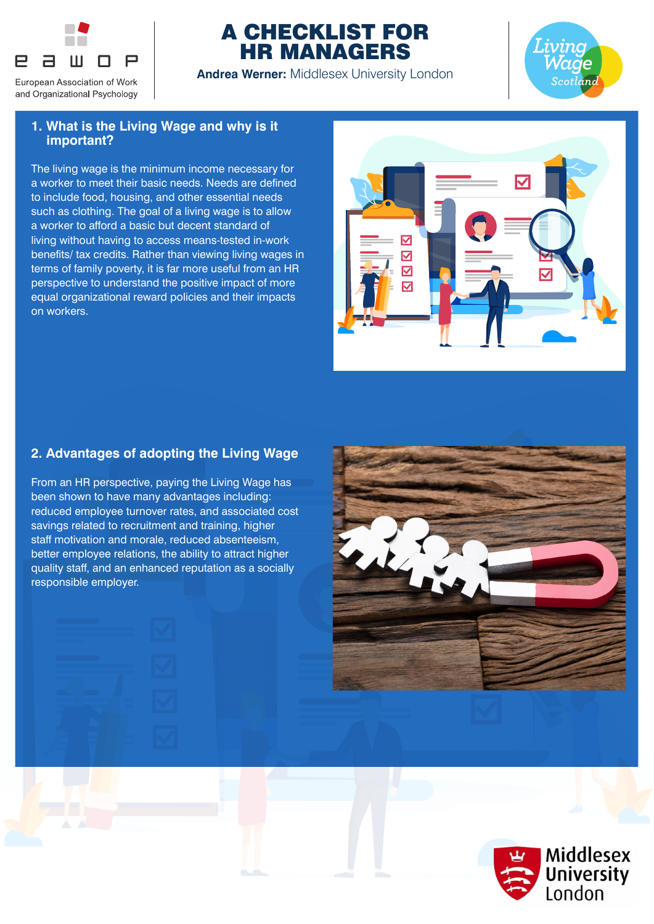

# A CHECKLIST FOR HR MANAGERS

**Andrea Werner:** Middlesex University London



### **1. What is the Living Wage and why is it important?**

The living wage is the minimum income necessary for a worker to meet their basic needs. Needs are defined to include food, housing, and other essential needs such as clothing. The goal of a living wage is to allow a worker to afford a basic but decent standard of living without having to access means-tested in-work benefits/ tax credits. Rather than viewing living wages in terms of family poverty, it is far more useful from an HR perspective to understand the positive impact of more equal organizational reward policies and their impacts on workers.



# **2. Advantages of adopting the Living Wage**

From an HR perspective, paying the Living Wage has been shown to have many advantages including: reduced employee turnover rates, and associated cost savings related to recruitment and training, higher staff motivation and morale, reduced absenteeism, better employee relations, the ability to attract higher quality staff, and an enhanced reputation as a socially responsible employer.